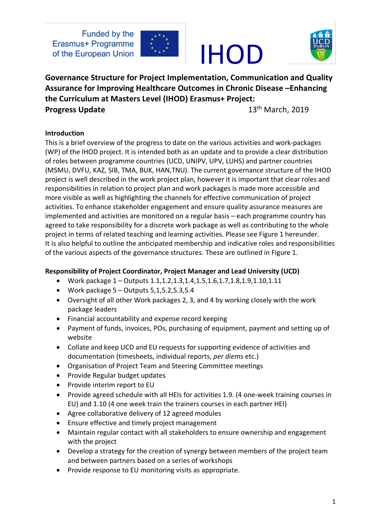

### IHOD



**Governance Structure for Project Implementation, Communication and Quality Assurance for Improving Healthcare Outcomes in Chronic Disease –Enhancing the Curriculum at Masters Level (IHOD) Erasmus+ Project: Progress Update** 13<sup>th</sup> March, 2019

#### **Introduction**

This is a brief overview of the progress to date on the various activities and work-packages (WP) of the IHOD project. It is intended both as an update and to provide a clear distribution of roles between programme countries (UCD, UNIPV, UPV, LUHS) and partner countries (MSMU, DVFU, KAZ, SIB, TMA, BUK, HAN,TNU). The current governance structure of the IHOD project is well described in the work project plan, however it is important that clear roles and responsibilities in relation to project plan and work packages is made more accessible and more visible as well as highlighting the channels for effective communication of project activities. To enhance stakeholder engagement and ensure quality assurance measures are implemented and activities are monitored on a regular basis – each programme country has agreed to take responsibility for a discrete work package as well as contributing to the whole project in terms of related teaching and learning activities. Please see Figure 1 hereunder. It is also helpful to outline the anticipated membership and indicative roles and responsibilities of the various aspects of the governance structures. These are outlined in Figure 1.

#### **Responsibility of Project Coordinator, Project Manager and Lead University (UCD)**

- Work package 1 Outputs 1.1,1.2,1.3,1.4,1.5,1.6,1.7,1.8,1.9,1.10,1.11
- Work package  $5 -$ Outputs  $5,1,5.2,5.3,5.4$
- Oversight of all other Work packages 2, 3, and 4 by working closely with the work package leaders
- Financial accountability and expense record keeping
- Payment of funds, invoices, POs, purchasing of equipment, payment and setting up of website
- Collate and keep UCD and EU requests for supporting evidence of activities and documentation (timesheets, individual reports, *per diems* etc.)
- Organisation of Project Team and Steering Committee meetings
- Provide Regular budget updates
- Provide interim report to EU
- Provide agreed schedule with all HEIs for activities 1.9. (4 one-week training courses in EU) and 1.10 (4 one week train the trainers courses in each partner HEI)
- Agree collaborative delivery of 12 agreed modules
- Ensure effective and timely project management
- Maintain regular contact with all stakeholders to ensure ownership and engagement with the project
- Develop a strategy for the creation of synergy between members of the project team and between partners based on a series of workshops
- Provide response to EU monitoring visits as appropriate.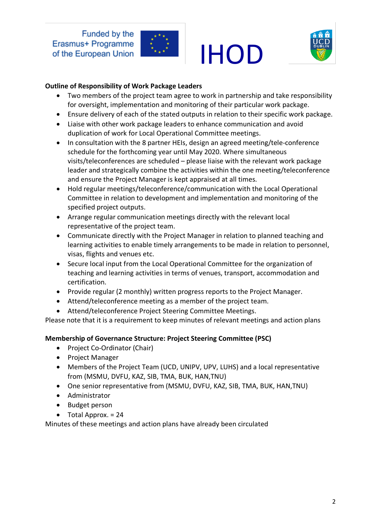

### IHOD



#### **Outline of Responsibility of Work Package Leaders**

- Two members of the project team agree to work in partnership and take responsibility for oversight, implementation and monitoring of their particular work package.
- Ensure delivery of each of the stated outputs in relation to their specific work package.
- Liaise with other work package leaders to enhance communication and avoid duplication of work for Local Operational Committee meetings.
- In consultation with the 8 partner HEIs, design an agreed meeting/tele-conference schedule for the forthcoming year until May 2020. Where simultaneous visits/teleconferences are scheduled – please liaise with the relevant work package leader and strategically combine the activities within the one meeting/teleconference and ensure the Project Manager is kept appraised at all times.
- Hold regular meetings/teleconference/communication with the Local Operational Committee in relation to development and implementation and monitoring of the specified project outputs.
- Arrange regular communication meetings directly with the relevant local representative of the project team.
- Communicate directly with the Project Manager in relation to planned teaching and learning activities to enable timely arrangements to be made in relation to personnel, visas, flights and venues etc.
- Secure local input from the Local Operational Committee for the organization of teaching and learning activities in terms of venues, transport, accommodation and certification.
- Provide regular (2 monthly) written progress reports to the Project Manager.
- Attend/teleconference meeting as a member of the project team.
- Attend/teleconference Project Steering Committee Meetings.

Please note that it is a requirement to keep minutes of relevant meetings and action plans

#### **Membership of Governance Structure: Project Steering Committee (PSC)**

- Project Co-Ordinator (Chair)
- Project Manager
- Members of the Project Team (UCD, UNIPV, UPV, LUHS) and a local representative from (MSMU, DVFU, KAZ, SIB, TMA, BUK, HAN,TNU)
- One senior representative from (MSMU, DVFU, KAZ, SIB, TMA, BUK, HAN,TNU)
- Administrator
- Budget person
- Total Approx. = 24

Minutes of these meetings and action plans have already been circulated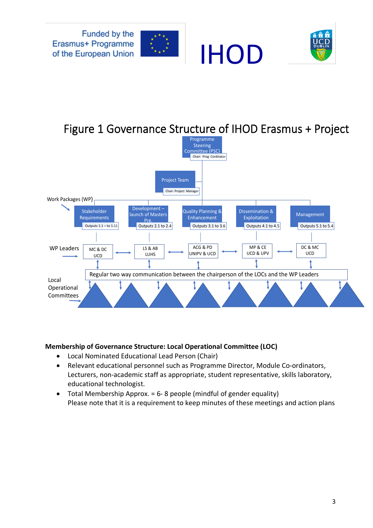



### Figure 1 Governance Structure of IHOD Erasmus + Project



#### **Membership of Governance Structure: Local Operational Committee (LOC)**

- Local Nominated Educational Lead Person (Chair)
- Relevant educational personnel such as Programme Director, Module Co-ordinators, Lecturers, non-academic staff as appropriate, student representative, skills laboratory, educational technologist.
- Total Membership Approx. = 6- 8 people (mindful of gender equality) Please note that it is a requirement to keep minutes of these meetings and action plans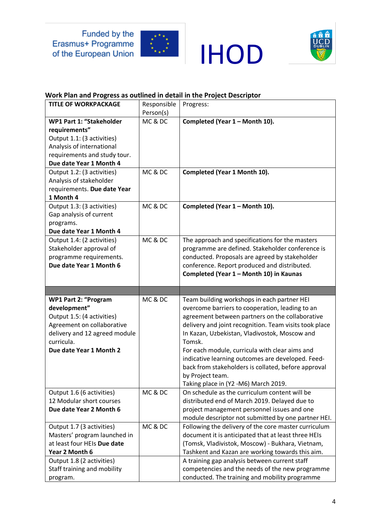





#### **Work Plan and Progress as outlined in detail in the Project Descriptor**

| <b>TITLE OF WORKPACKAGE</b>             | Responsible | Progress:                                                                                         |
|-----------------------------------------|-------------|---------------------------------------------------------------------------------------------------|
|                                         | Person(s)   |                                                                                                   |
| WP1 Part 1: "Stakeholder                | MC & DC     | Completed (Year 1 - Month 10).                                                                    |
| requirements"                           |             |                                                                                                   |
| Output 1.1: (3 activities)              |             |                                                                                                   |
| Analysis of international               |             |                                                                                                   |
| requirements and study tour.            |             |                                                                                                   |
| Due date Year 1 Month 4                 |             |                                                                                                   |
| Output 1.2: (3 activities)              | MC & DC     | Completed (Year 1 Month 10).                                                                      |
| Analysis of stakeholder                 |             |                                                                                                   |
| requirements. Due date Year             |             |                                                                                                   |
| 1 Month 4                               |             |                                                                                                   |
| Output 1.3: (3 activities)              | MC & DC     | Completed (Year 1 - Month 10).                                                                    |
| Gap analysis of current                 |             |                                                                                                   |
| programs.                               |             |                                                                                                   |
| Due date Year 1 Month 4                 |             |                                                                                                   |
| Output 1.4: (2 activities)              | MC & DC     | The approach and specifications for the masters                                                   |
| Stakeholder approval of                 |             | programme are defined. Stakeholder conference is                                                  |
| programme requirements.                 |             | conducted. Proposals are agreed by stakeholder                                                    |
| Due date Year 1 Month 6                 |             | conference. Report produced and distributed.                                                      |
|                                         |             | Completed (Year 1 - Month 10) in Kaunas                                                           |
|                                         |             |                                                                                                   |
|                                         |             |                                                                                                   |
|                                         |             |                                                                                                   |
| <b>WP1 Part 2: "Program</b>             | MC & DC     | Team building workshops in each partner HEI                                                       |
| development"                            |             | overcome barriers to cooperation, leading to an                                                   |
| Output 1.5: (4 activities)              |             | agreement between partners on the collaborative                                                   |
| Agreement on collaborative              |             | delivery and joint recognition. Team visits took place                                            |
| delivery and 12 agreed module           |             | In Kazan, Uzbekistan, Vladivostok, Moscow and                                                     |
| curricula.                              |             | Tomsk.                                                                                            |
| Due date Year 1 Month 2                 |             | For each module, curricula with clear aims and                                                    |
|                                         |             | indicative learning outcomes are developed. Feed-                                                 |
|                                         |             | back from stakeholders is collated, before approval                                               |
|                                         |             | by Project team.                                                                                  |
|                                         |             | Taking place in (Y2 -M6) March 2019.                                                              |
| Output 1.6 (6 activities)               | MC & DC     | On schedule as the curriculum content will be                                                     |
| 12 Modular short courses                |             | distributed end of March 2019. Delayed due to                                                     |
| Due date Year 2 Month 6                 |             | project management personnel issues and one                                                       |
|                                         |             | module descriptor not submitted by one partner HEI.                                               |
| Output 1.7 (3 activities)               | MC & DC     | Following the delivery of the core master curriculum                                              |
| Masters' program launched in            |             | document it is anticipated that at least three HEIs                                               |
| at least four HEIs Due date             |             | (Tomsk, Vladivistok, Moscow) - Bukhara, Vietnam,                                                  |
| Year 2 Month 6                          |             | Tashkent and Kazan are working towards this aim.                                                  |
| Output 1.8 (2 activities)               |             | A training gap analysis between current staff                                                     |
| Staff training and mobility<br>program. |             | competencies and the needs of the new programme<br>conducted. The training and mobility programme |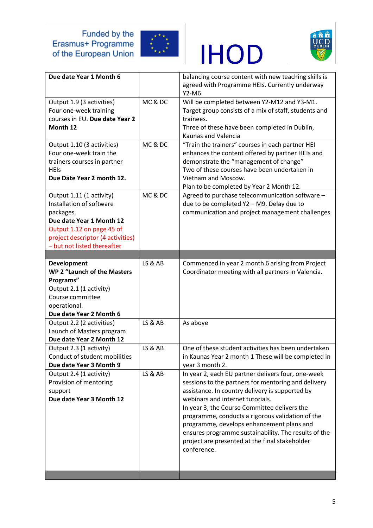





| Due date Year 1 Month 6                                                                                                                                                                        |                    | balancing course content with new teaching skills is<br>agreed with Programme HEIs. Currently underway<br>$Y2-M6$                                                                                                                                                                                                                                                                                                                                                          |
|------------------------------------------------------------------------------------------------------------------------------------------------------------------------------------------------|--------------------|----------------------------------------------------------------------------------------------------------------------------------------------------------------------------------------------------------------------------------------------------------------------------------------------------------------------------------------------------------------------------------------------------------------------------------------------------------------------------|
| Output 1.9 (3 activities)<br>Four one-week training<br>courses in EU. Due date Year 2<br>Month 12                                                                                              | MC & DC            | Will be completed between Y2-M12 and Y3-M1.<br>Target group consists of a mix of staff, students and<br>trainees.<br>Three of these have been completed in Dublin,<br>Kaunas and Valencia                                                                                                                                                                                                                                                                                  |
| Output 1.10 (3 activities)<br>Four one-week train the<br>trainers courses in partner<br><b>HEIS</b><br>Due Date Year 2 month 12.                                                               | MC & DC            | "Train the trainers" courses in each partner HEI<br>enhances the content offered by partner HEIs and<br>demonstrate the "management of change"<br>Two of these courses have been undertaken in<br>Vietnam and Moscow.<br>Plan to be completed by Year 2 Month 12.                                                                                                                                                                                                          |
| Output 1.11 (1 activity)<br>Installation of software<br>packages.<br>Due date Year 1 Month 12<br>Output 1.12 on page 45 of<br>project descriptor (4 activities)<br>- but not listed thereafter | MC & DC            | Agreed to purchase telecommunication software -<br>due to be completed Y2 - M9. Delay due to<br>communication and project management challenges.                                                                                                                                                                                                                                                                                                                           |
| Development                                                                                                                                                                                    | <b>LS &amp; AB</b> | Commenced in year 2 month 6 arising from Project                                                                                                                                                                                                                                                                                                                                                                                                                           |
| WP 2 "Launch of the Masters<br>Programs"<br>Output 2.1 (1 activity)<br>Course committee<br>operational.<br>Due date Year 2 Month 6                                                             |                    | Coordinator meeting with all partners in Valencia.                                                                                                                                                                                                                                                                                                                                                                                                                         |
|                                                                                                                                                                                                |                    |                                                                                                                                                                                                                                                                                                                                                                                                                                                                            |
| Output 2.2 (2 activities)<br>Launch of Masters program<br>Due date Year 2 Month 12                                                                                                             | <b>LS &amp; AB</b> | As above                                                                                                                                                                                                                                                                                                                                                                                                                                                                   |
| Output 2.3 (1 activity)<br>Conduct of student mobilities<br>Due date Year 3 Month 9                                                                                                            | <b>LS &amp; AB</b> | One of these student activities has been undertaken<br>in Kaunas Year 2 month 1 These will be completed in<br>year 3 month 2.                                                                                                                                                                                                                                                                                                                                              |
| Output 2.4 (1 activity)<br>Provision of mentoring<br>support<br>Due date Year 3 Month 12                                                                                                       | LS & AB            | In year 2, each EU partner delivers four, one-week<br>sessions to the partners for mentoring and delivery<br>assistance. In country delivery is supported by<br>webinars and internet tutorials.<br>In year 3, the Course Committee delivers the<br>programme, conducts a rigorous validation of the<br>programme, develops enhancement plans and<br>ensures programme sustainability. The results of the<br>project are presented at the final stakeholder<br>conference. |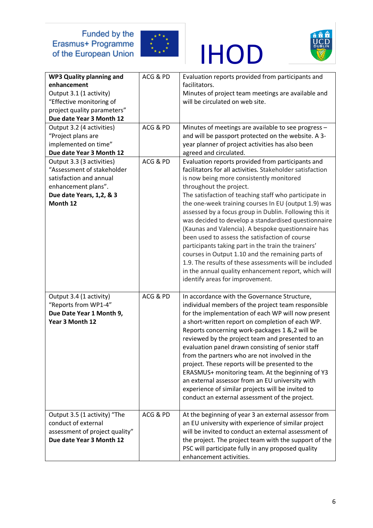

### IHOD



| <b>WP3 Quality planning and</b><br>enhancement<br>Output 3.1 (1 activity)<br>"Effective monitoring of<br>project quality parameters"<br>Due date Year 3 Month 12 | ACG & PD | Evaluation reports provided from participants and<br>facilitators.<br>Minutes of project team meetings are available and<br>will be circulated on web site.                                                                                                                                                                                                                                                                                                                                                                                                                                                                                                                                                                                                                                      |
|------------------------------------------------------------------------------------------------------------------------------------------------------------------|----------|--------------------------------------------------------------------------------------------------------------------------------------------------------------------------------------------------------------------------------------------------------------------------------------------------------------------------------------------------------------------------------------------------------------------------------------------------------------------------------------------------------------------------------------------------------------------------------------------------------------------------------------------------------------------------------------------------------------------------------------------------------------------------------------------------|
| Output 3.2 (4 activities)<br>"Project plans are<br>implemented on time"<br>Due date Year 3 Month 12                                                              | ACG & PD | Minutes of meetings are available to see progress -<br>and will be passport protected on the website. A 3-<br>year planner of project activities has also been<br>agreed and circulated.                                                                                                                                                                                                                                                                                                                                                                                                                                                                                                                                                                                                         |
| Output 3.3 (3 activities)<br>"Assessment of stakeholder<br>satisfaction and annual<br>enhancement plans".<br>Due date Years, 1,2, & 3<br>Month 12                | ACG & PD | Evaluation reports provided from participants and<br>facilitators for all activities. Stakeholder satisfaction<br>is now being more consistently monitored<br>throughout the project.<br>The satisfaction of teaching staff who participate in<br>the one-week training courses In EU (output 1.9) was<br>assessed by a focus group in Dublin. Following this it<br>was decided to develop a standardised questionnaire<br>(Kaunas and Valencia). A bespoke questionnaire has<br>been used to assess the satisfaction of course<br>participants taking part in the train the trainers'<br>courses in Output 1.10 and the remaining parts of<br>1.9. The results of these assessments will be included<br>in the annual quality enhancement report, which will<br>identify areas for improvement. |
| Output 3.4 (1 activity)<br>"Reports from WP1-4"<br>Due Date Year 1 Month 9,<br>Year 3 Month 12                                                                   | ACG & PD | In accordance with the Governance Structure,<br>individual members of the project team responsible<br>for the implementation of each WP will now present<br>a short-written report on completion of each WP.<br>Reports concerning work-packages 1 &, 2 will be<br>reviewed by the project team and presented to an<br>evaluation panel drawn consisting of senior staff<br>from the partners who are not involved in the<br>project. These reports will be presented to the<br>ERASMUS+ monitoring team. At the beginning of Y3<br>an external assessor from an EU university with<br>experience of similar projects will be invited to<br>conduct an external assessment of the project.                                                                                                       |
| Output 3.5 (1 activity) "The<br>conduct of external<br>assessment of project quality"<br>Due date Year 3 Month 12                                                | ACG & PD | At the beginning of year 3 an external assessor from<br>an EU university with experience of similar project<br>will be invited to conduct an external assessment of<br>the project. The project team with the support of the<br>PSC will participate fully in any proposed quality<br>enhancement activities.                                                                                                                                                                                                                                                                                                                                                                                                                                                                                    |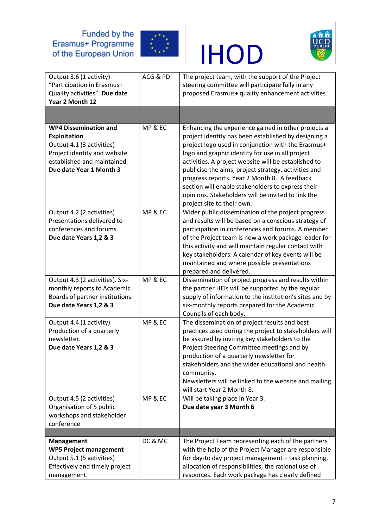





| Output 3.6 (1 activity)<br>"Participation in Erasmus+<br>Quality activities". Due date<br>Year 2 Month 12                                                                  | ACG & PD | The project team, with the support of the Project<br>steering committee will participate fully in any<br>proposed Erasmus+ quality enhancement activities.                                                                                                                                                                                                                                                                                                                                                                     |
|----------------------------------------------------------------------------------------------------------------------------------------------------------------------------|----------|--------------------------------------------------------------------------------------------------------------------------------------------------------------------------------------------------------------------------------------------------------------------------------------------------------------------------------------------------------------------------------------------------------------------------------------------------------------------------------------------------------------------------------|
|                                                                                                                                                                            |          |                                                                                                                                                                                                                                                                                                                                                                                                                                                                                                                                |
| <b>WP4 Dissemination and</b><br><b>Exploitation</b><br>Output 4.1 (3 activities)<br>Project identity and website<br>established and maintained.<br>Due date Year 1 Month 3 | MP & EC  | Enhancing the experience gained in other projects a<br>project identity has been established by designing a<br>project logo used in conjunction with the Erasmus+<br>logo and graphic identity for use in all project<br>activities. A project website will be established to<br>publicise the aims, project strategy, activities and<br>progress reports. Year 2 Month 8. A feedback<br>section will enable stakeholders to express their<br>opinions. Stakeholders will be invited to link the<br>project site to their own. |
| Output 4.2 (2 activities)<br>Presentations delivered to<br>conferences and forums.<br>Due date Years 1,2 & 3                                                               | MP & EC  | Wider public dissemination of the project progress<br>and results will be based on a conscious strategy of<br>participation in conferences and forums. A member<br>of the Project team is now a work package leader for<br>this activity and will maintain regular contact with<br>key stakeholders. A calendar of key events will be<br>maintained and where possible presentations<br>prepared and delivered.                                                                                                                |
| Output 4.3 (2 activities). Six-<br>monthly reports to Academic<br>Boards of partner institutions.<br>Due date Years 1,2 & 3                                                | MP & EC  | Dissemination of project progress and results within<br>the partner HEIs will be supported by the regular<br>supply of information to the institution's sites and by<br>six-monthly reports prepared for the Academic<br>Councils of each body.                                                                                                                                                                                                                                                                                |
| Output 4.4 (1 activity)<br>Production of a quarterly<br>newsletter.<br>Due date Years 1,2 & 3                                                                              | MP & EC  | The dissemination of project results and best<br>practices used during the project to stakeholders will<br>be assured by inviting key stakeholders to the<br>Project Steering Committee meetings and by<br>production of a quarterly newsletter for<br>stakeholders and the wider educational and health<br>community.<br>Newsletters will be linked to the website and mailing<br>will start Year 2 Month 8.                                                                                                                  |
| Output 4.5 (2 activities)<br>Organisation of 5 public<br>workshops and stakeholder<br>conference                                                                           | MP & EC  | Will be taking place in Year 3.<br>Due date year 3 Month 6                                                                                                                                                                                                                                                                                                                                                                                                                                                                     |
|                                                                                                                                                                            |          |                                                                                                                                                                                                                                                                                                                                                                                                                                                                                                                                |
| <b>Management</b><br><b>WP5 Project management</b><br>Output 5.1 (5 activities)<br>Effectively and timely project<br>management.                                           | DC & MC  | The Project Team representing each of the partners<br>with the help of the Project Manager are responsible<br>for day-to day project management - task planning,<br>allocation of responsibilities, the rational use of<br>resources. Each work package has clearly defined                                                                                                                                                                                                                                                    |